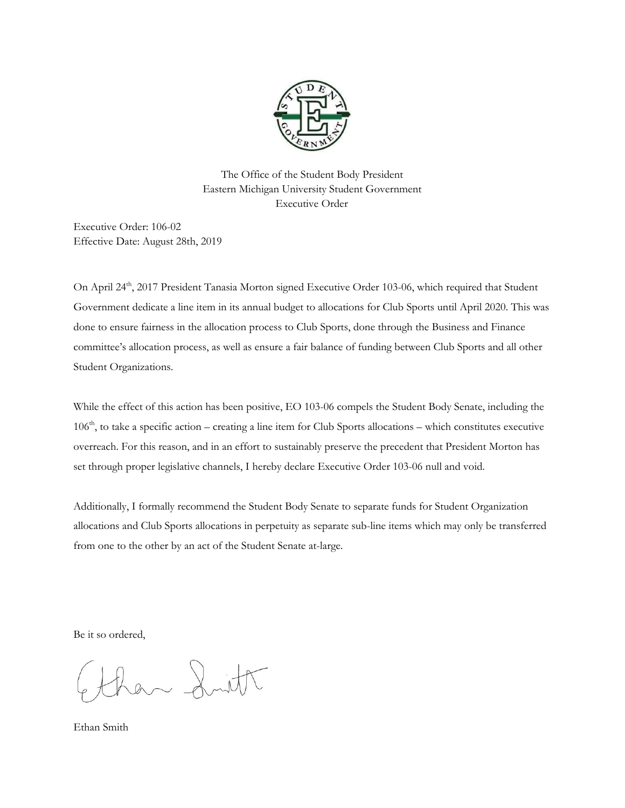

The Office of the Student Body President Eastern Michigan University Student Government Executive Order

Executive Order: 106-02 Effective Date: August 28th, 2019

On April 24<sup>th</sup>, 2017 President Tanasia Morton signed Executive Order 103-06, which required that Student Government dedicate a line item in its annual budget to allocations for Club Sports until April 2020. This was done to ensure fairness in the allocation process to Club Sports, done through the Business and Finance committee's allocation process, as well as ensure a fair balance of funding between Club Sports and all other Student Organizations.

While the effect of this action has been positive, EO 103-06 compels the Student Body Senate, including the 106<sup>th</sup>, to take a specific action – creating a line item for Club Sports allocations – which constitutes executive overreach. For this reason, and in an effort to sustainably preserve the precedent that President Morton has set through proper legislative channels, I hereby declare Executive Order 103-06 null and void.

Additionally, I formally recommend the Student Body Senate to separate funds for Student Organization allocations and Club Sports allocations in perpetuity as separate sub-line items which may only be transferred from one to the other by an act of the Student Senate at-large.

Be it so ordered,

 $x \sim \lambda$  mill

Ethan Smith